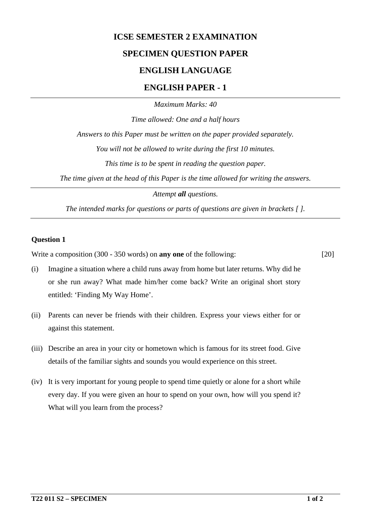# **ICSE SEMESTER 2 EXAMINATION SPECIMEN QUESTION PAPER ENGLISH LANGUAGE**

## **ENGLISH PAPER - 1**

*Maximum Marks: 40*

*Time allowed: One and a half hours Answers to this Paper must be written on the paper provided separately. You will not be allowed to write during the first 10 minutes. This time is to be spent in reading the question paper. The time given at the head of this Paper is the time allowed for writing the answers.*

*Attempt all questions.*

*The intended marks for questions or parts of questions are given in brackets [ ].*

### **Question 1**

Write a composition (300 - 350 words) on **any one** of the following: [20]

- (i) Imagine a situation where a child runs away from home but later returns. Why did he or she run away? What made him/her come back? Write an original short story entitled: 'Finding My Way Home'.
- (ii) Parents can never be friends with their children. Express your views either for or against this statement.
- (iii) Describe an area in your city or hometown which is famous for its street food. Give details of the familiar sights and sounds you would experience on this street.
- (iv) It is very important for young people to spend time quietly or alone for a short while every day. If you were given an hour to spend on your own, how will you spend it? What will you learn from the process?